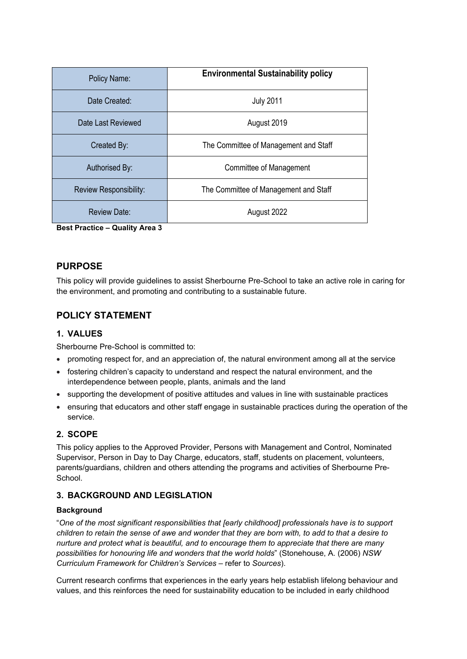| Policy Name:           | <b>Environmental Sustainability policy</b> |  |
|------------------------|--------------------------------------------|--|
| Date Created:          | <b>July 2011</b>                           |  |
| Date Last Reviewed     | August 2019                                |  |
| Created By:            | The Committee of Management and Staff      |  |
| Authorised By:         | Committee of Management                    |  |
| Review Responsibility: | The Committee of Management and Staff      |  |
| <b>Review Date:</b>    | August 2022                                |  |

**Best Practice – Quality Area 3**

## **PURPOSE**

This policy will provide guidelines to assist Sherbourne Pre-School to take an active role in caring for the environment, and promoting and contributing to a sustainable future.

# **POLICY STATEMENT**

### **1. VALUES**

Sherbourne Pre-School is committed to:

- promoting respect for, and an appreciation of, the natural environment among all at the service
- fostering children's capacity to understand and respect the natural environment, and the interdependence between people, plants, animals and the land
- supporting the development of positive attitudes and values in line with sustainable practices
- ensuring that educators and other staff engage in sustainable practices during the operation of the service.

## **2. SCOPE**

This policy applies to the Approved Provider, Persons with Management and Control, Nominated Supervisor, Person in Day to Day Charge, educators, staff, students on placement, volunteers, parents/guardians, children and others attending the programs and activities of Sherbourne Pre-School.

## **3. BACKGROUND AND LEGISLATION**

#### **Background**

"*One of the most significant responsibilities that [early childhood] professionals have is to support children to retain the sense of awe and wonder that they are born with, to add to that a desire to nurture and protect what is beautiful, and to encourage them to appreciate that there are many possibilities for honouring life and wonders that the world holds*" (Stonehouse, A. (2006) *NSW Curriculum Framework for Children's Services* – refer to *Sources*).

Current research confirms that experiences in the early years help establish lifelong behaviour and values, and this reinforces the need for sustainability education to be included in early childhood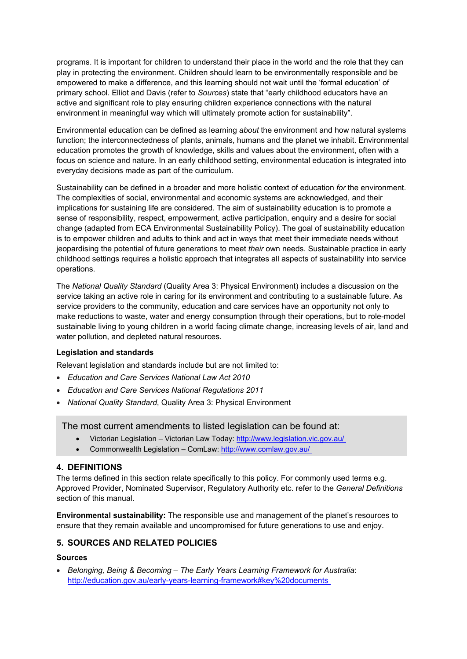programs. It is important for children to understand their place in the world and the role that they can play in protecting the environment. Children should learn to be environmentally responsible and be empowered to make a difference, and this learning should not wait until the 'formal education' of primary school. Elliot and Davis (refer to *Sources*) state that "early childhood educators have an active and significant role to play ensuring children experience connections with the natural environment in meaningful way which will ultimately promote action for sustainability".

Environmental education can be defined as learning *about* the environment and how natural systems function; the interconnectedness of plants, animals, humans and the planet we inhabit. Environmental education promotes the growth of knowledge, skills and values about the environment, often with a focus on science and nature. In an early childhood setting, environmental education is integrated into everyday decisions made as part of the curriculum.

Sustainability can be defined in a broader and more holistic context of education *for* the environment. The complexities of social, environmental and economic systems are acknowledged, and their implications for sustaining life are considered. The aim of sustainability education is to promote a sense of responsibility, respect, empowerment, active participation, enquiry and a desire for social change (adapted from ECA Environmental Sustainability Policy). The goal of sustainability education is to empower children and adults to think and act in ways that meet their immediate needs without jeopardising the potential of future generations to meet *their* own needs. Sustainable practice in early childhood settings requires a holistic approach that integrates all aspects of sustainability into service operations.

The *National Quality Standard* (Quality Area 3: Physical Environment) includes a discussion on the service taking an active role in caring for its environment and contributing to a sustainable future. As service providers to the community, education and care services have an opportunity not only to make reductions to waste, water and energy consumption through their operations, but to role-model sustainable living to young children in a world facing climate change, increasing levels of air, land and water pollution, and depleted natural resources.

#### **Legislation and standards**

Relevant legislation and standards include but are not limited to:

- *Education and Care Services National Law Act 2010*
- *Education and Care Services National Regulations 2011*
- *National Quality Standard*, Quality Area 3: Physical Environment

The most current amendments to listed legislation can be found at:

- Victorian Legislation Victorian Law Today: <http://www.legislation.vic.gov.au/>
- Commonwealth Legislation ComLaw: <http://www.comlaw.gov.au/>

## **4. DEFINITIONS**

The terms defined in this section relate specifically to this policy. For commonly used terms e.g. Approved Provider, Nominated Supervisor, Regulatory Authority etc. refer to the *General Definitions* section of this manual.

**Environmental sustainability:** The responsible use and management of the planet's resources to ensure that they remain available and uncompromised for future generations to use and enjoy.

## **5. SOURCES AND RELATED POLICIES**

#### **Sources**

 *Belonging, Being & Becoming – The Early Years Learning Framework for Australia*: [http://education.gov.au/early-years-learning-framework#key%20documents](http://education.gov.au/early-years-learning-framework)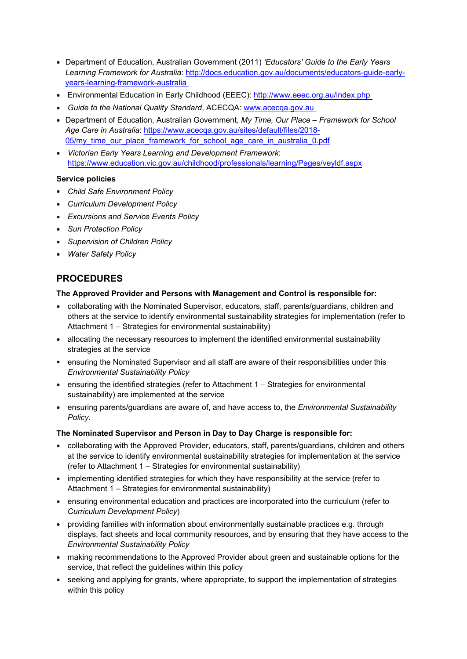- Department of Education, Australian Government (2011) *'Educators' Guide to the Early Years Learning Framework for Australia*: [http://docs.education.gov.au/documents/educators-guide-early](http://docs.education.gov.au/documents/educators-guide-early-years-learning-framework-australia)[years-learning-framework-australia](http://docs.education.gov.au/documents/educators-guide-early-years-learning-framework-australia)
- Environmental Education in Early Childhood (EEEC): <http://www.eeec.org.au/index.php>
- *Guide to the National Quality Standard*, ACECQA: [www.acecqa.gov.au](http://www.acecqa.gov.au)
- Department of Education, Australian Government, *My Time, Our Place Framework for School Age Care in Australia*: [https://www.acecqa.gov.au/sites/default/files/2018-](https://www.acecqa.gov.au/sites/default/files/2018-05/my_time_our_place_framework_for_school_age_care_in_australia_0.pdf) 05/my time our place framework for school age care in australia 0.pdf
- *Victorian Early Years Learning and Development Framework*: <https://www.education.vic.gov.au/childhood/professionals/learning/Pages/veyldf.aspx>

#### **Service policies**

- *Child Safe Environment Policy*
- *Curriculum Development Policy*
- *Excursions and Service Events Policy*
- *Sun Protection Policy*
- *Supervision of Children Policy*
- *Water Safety Policy*

# **PROCEDURES**

#### **The Approved Provider and Persons with Management and Control is responsible for:**

- collaborating with the Nominated Supervisor, educators, staff, parents/guardians, children and others at the service to identify environmental sustainability strategies for implementation (refer to Attachment 1 – Strategies for environmental sustainability)
- allocating the necessary resources to implement the identified environmental sustainability strategies at the service
- ensuring the Nominated Supervisor and all staff are aware of their responsibilities under this *Environmental Sustainability Policy*
- ensuring the identified strategies (refer to Attachment 1 Strategies for environmental sustainability) are implemented at the service
- ensuring parents/guardians are aware of, and have access to, the *Environmental Sustainability Policy.*

#### **The Nominated Supervisor and Person in Day to Day Charge is responsible for:**

- collaborating with the Approved Provider, educators, staff, parents/guardians, children and others at the service to identify environmental sustainability strategies for implementation at the service (refer to Attachment 1 – Strategies for environmental sustainability)
- implementing identified strategies for which they have responsibility at the service (refer to Attachment 1 – Strategies for environmental sustainability)
- ensuring environmental education and practices are incorporated into the curriculum (refer to *Curriculum Development Policy*)
- providing families with information about environmentally sustainable practices e.g. through displays, fact sheets and local community resources, and by ensuring that they have access to the *Environmental Sustainability Policy*
- making recommendations to the Approved Provider about green and sustainable options for the service, that reflect the guidelines within this policy
- seeking and applying for grants, where appropriate, to support the implementation of strategies within this policy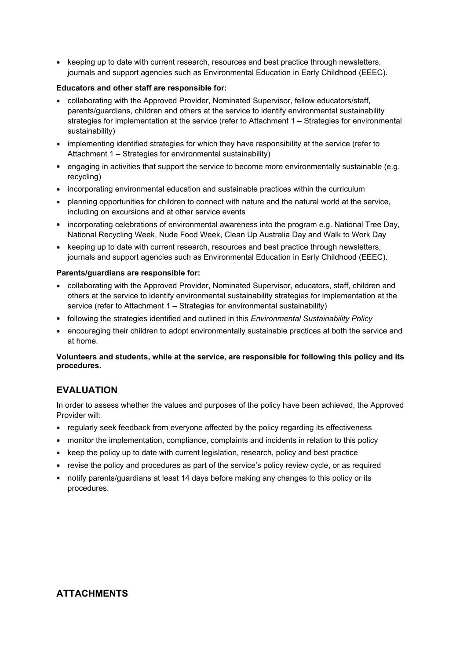• keeping up to date with current research, resources and best practice through newsletters, journals and support agencies such as Environmental Education in Early Childhood (EEEC).

#### **Educators and other staff are responsible for:**

- collaborating with the Approved Provider, Nominated Supervisor, fellow educators/staff, parents/guardians, children and others at the service to identify environmental sustainability strategies for implementation at the service (refer to Attachment 1 – Strategies for environmental sustainability)
- implementing identified strategies for which they have responsibility at the service (refer to Attachment 1 – Strategies for environmental sustainability)
- engaging in activities that support the service to become more environmentally sustainable (e.g. recycling)
- incorporating environmental education and sustainable practices within the curriculum
- planning opportunities for children to connect with nature and the natural world at the service, including on excursions and at other service events
- incorporating celebrations of environmental awareness into the program e.g. National Tree Day, National Recycling Week, Nude Food Week, Clean Up Australia Day and Walk to Work Day
- keeping up to date with current research, resources and best practice through newsletters, journals and support agencies such as Environmental Education in Early Childhood (EEEC).

#### **Parents/guardians are responsible for:**

- collaborating with the Approved Provider, Nominated Supervisor, educators, staff, children and others at the service to identify environmental sustainability strategies for implementation at the service (refer to Attachment 1 – Strategies for environmental sustainability)
- following the strategies identified and outlined in this *Environmental Sustainability Policy*
- encouraging their children to adopt environmentally sustainable practices at both the service and at home.

#### **Volunteers and students, while at the service, are responsible for following this policy and its procedures.**

# **EVALUATION**

In order to assess whether the values and purposes of the policy have been achieved, the Approved Provider will:

- regularly seek feedback from everyone affected by the policy regarding its effectiveness
- monitor the implementation, compliance, complaints and incidents in relation to this policy
- keep the policy up to date with current legislation, research, policy and best practice
- revise the policy and procedures as part of the service's policy review cycle, or as required
- notify parents/guardians at least 14 days before making any changes to this policy or its procedures.

## **ATTACHMENTS**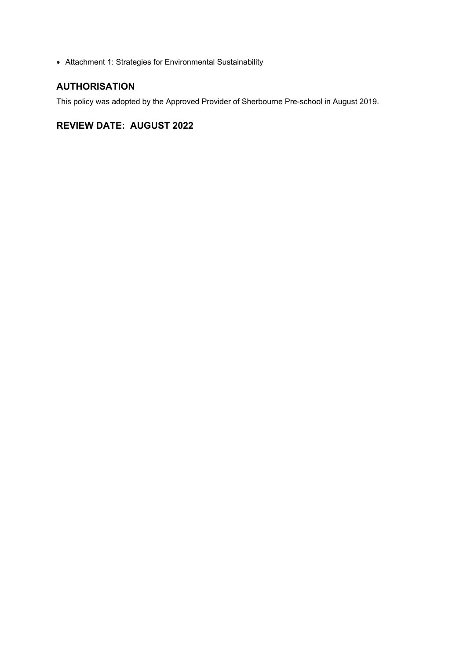Attachment 1: Strategies for Environmental Sustainability

# **AUTHORISATION**

This policy was adopted by the Approved Provider of Sherbourne Pre-school in August 2019.

# **REVIEW DATE: AUGUST 2022**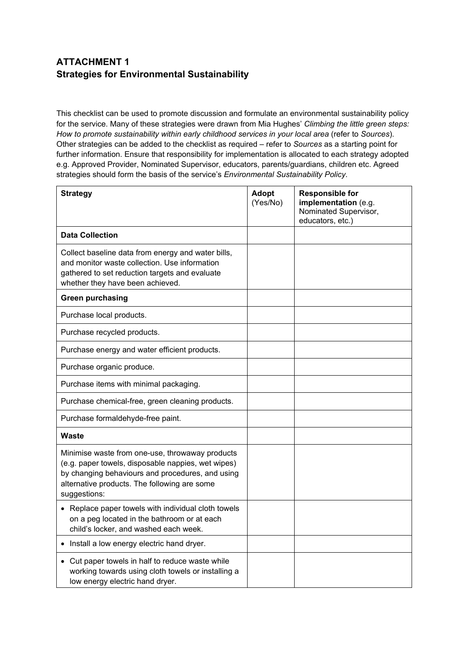# **ATTACHMENT 1 Strategies for Environmental Sustainability**

This checklist can be used to promote discussion and formulate an environmental sustainability policy for the service. Many of these strategies were drawn from Mia Hughes' *Climbing the little green steps: How to promote sustainability within early childhood services in your local area* (refer to *Sources*). Other strategies can be added to the checklist as required – refer to *Sources* as a starting point for further information. Ensure that responsibility for implementation is allocated to each strategy adopted e.g. Approved Provider, Nominated Supervisor, educators, parents/guardians, children etc. Agreed strategies should form the basis of the service's *Environmental Sustainability Policy*.

| <b>Strategy</b>                                                                                                                                                                                                           | <b>Adopt</b><br>(Yes/No) | <b>Responsible for</b><br>implementation (e.g.<br>Nominated Supervisor,<br>educators, etc.) |
|---------------------------------------------------------------------------------------------------------------------------------------------------------------------------------------------------------------------------|--------------------------|---------------------------------------------------------------------------------------------|
| <b>Data Collection</b>                                                                                                                                                                                                    |                          |                                                                                             |
| Collect baseline data from energy and water bills,<br>and monitor waste collection. Use information<br>gathered to set reduction targets and evaluate<br>whether they have been achieved.                                 |                          |                                                                                             |
| <b>Green purchasing</b>                                                                                                                                                                                                   |                          |                                                                                             |
| Purchase local products.                                                                                                                                                                                                  |                          |                                                                                             |
| Purchase recycled products.                                                                                                                                                                                               |                          |                                                                                             |
| Purchase energy and water efficient products.                                                                                                                                                                             |                          |                                                                                             |
| Purchase organic produce.                                                                                                                                                                                                 |                          |                                                                                             |
| Purchase items with minimal packaging.                                                                                                                                                                                    |                          |                                                                                             |
| Purchase chemical-free, green cleaning products.                                                                                                                                                                          |                          |                                                                                             |
| Purchase formaldehyde-free paint.                                                                                                                                                                                         |                          |                                                                                             |
| <b>Waste</b>                                                                                                                                                                                                              |                          |                                                                                             |
| Minimise waste from one-use, throwaway products<br>(e.g. paper towels, disposable nappies, wet wipes)<br>by changing behaviours and procedures, and using<br>alternative products. The following are some<br>suggestions: |                          |                                                                                             |
| • Replace paper towels with individual cloth towels<br>on a peg located in the bathroom or at each<br>child's locker, and washed each week.                                                                               |                          |                                                                                             |
| • Install a low energy electric hand dryer.                                                                                                                                                                               |                          |                                                                                             |
| • Cut paper towels in half to reduce waste while<br>working towards using cloth towels or installing a<br>low energy electric hand dryer.                                                                                 |                          |                                                                                             |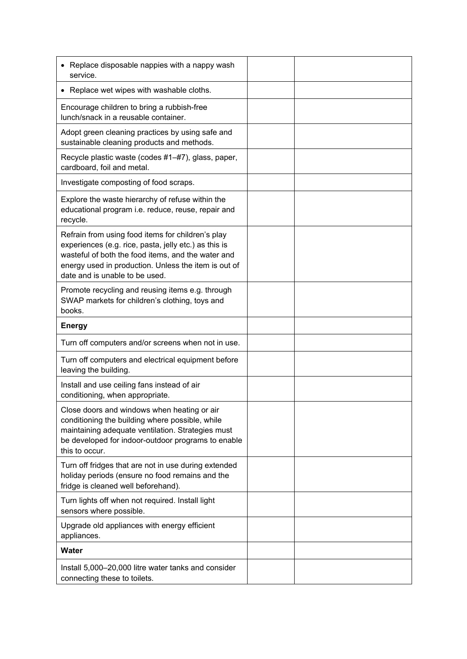| • Replace disposable nappies with a nappy wash<br>service.                                                                                                                                                                                                 |  |
|------------------------------------------------------------------------------------------------------------------------------------------------------------------------------------------------------------------------------------------------------------|--|
| • Replace wet wipes with washable cloths.                                                                                                                                                                                                                  |  |
| Encourage children to bring a rubbish-free<br>lunch/snack in a reusable container.                                                                                                                                                                         |  |
| Adopt green cleaning practices by using safe and<br>sustainable cleaning products and methods.                                                                                                                                                             |  |
| Recycle plastic waste (codes #1-#7), glass, paper,<br>cardboard, foil and metal.                                                                                                                                                                           |  |
| Investigate composting of food scraps.                                                                                                                                                                                                                     |  |
| Explore the waste hierarchy of refuse within the<br>educational program i.e. reduce, reuse, repair and<br>recycle.                                                                                                                                         |  |
| Refrain from using food items for children's play<br>experiences (e.g. rice, pasta, jelly etc.) as this is<br>wasteful of both the food items, and the water and<br>energy used in production. Unless the item is out of<br>date and is unable to be used. |  |
| Promote recycling and reusing items e.g. through<br>SWAP markets for children's clothing, toys and<br>books.                                                                                                                                               |  |
| <b>Energy</b>                                                                                                                                                                                                                                              |  |
| Turn off computers and/or screens when not in use.                                                                                                                                                                                                         |  |
| Turn off computers and electrical equipment before<br>leaving the building.                                                                                                                                                                                |  |
| Install and use ceiling fans instead of air<br>conditioning, when appropriate.                                                                                                                                                                             |  |
| Close doors and windows when heating or air<br>conditioning the building where possible, while<br>maintaining adequate ventilation. Strategies must<br>be developed for indoor-outdoor programs to enable<br>this to occur.                                |  |
| Turn off fridges that are not in use during extended<br>holiday periods (ensure no food remains and the<br>fridge is cleaned well beforehand).                                                                                                             |  |
| Turn lights off when not required. Install light<br>sensors where possible.                                                                                                                                                                                |  |
| Upgrade old appliances with energy efficient<br>appliances.                                                                                                                                                                                                |  |
| Water                                                                                                                                                                                                                                                      |  |
| Install 5,000-20,000 litre water tanks and consider<br>connecting these to toilets.                                                                                                                                                                        |  |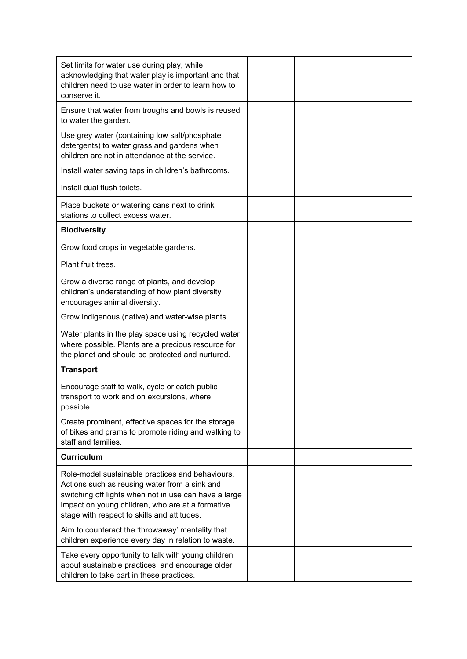| Set limits for water use during play, while<br>acknowledging that water play is important and that<br>children need to use water in order to learn how to<br>conserve it.                                                                                     |  |
|---------------------------------------------------------------------------------------------------------------------------------------------------------------------------------------------------------------------------------------------------------------|--|
| Ensure that water from troughs and bowls is reused<br>to water the garden.                                                                                                                                                                                    |  |
| Use grey water (containing low salt/phosphate<br>detergents) to water grass and gardens when<br>children are not in attendance at the service.                                                                                                                |  |
| Install water saving taps in children's bathrooms.                                                                                                                                                                                                            |  |
| Install dual flush toilets.                                                                                                                                                                                                                                   |  |
| Place buckets or watering cans next to drink<br>stations to collect excess water.                                                                                                                                                                             |  |
| <b>Biodiversity</b>                                                                                                                                                                                                                                           |  |
| Grow food crops in vegetable gardens.                                                                                                                                                                                                                         |  |
| Plant fruit trees.                                                                                                                                                                                                                                            |  |
| Grow a diverse range of plants, and develop<br>children's understanding of how plant diversity<br>encourages animal diversity.                                                                                                                                |  |
| Grow indigenous (native) and water-wise plants.                                                                                                                                                                                                               |  |
| Water plants in the play space using recycled water<br>where possible. Plants are a precious resource for<br>the planet and should be protected and nurtured.                                                                                                 |  |
| <b>Transport</b>                                                                                                                                                                                                                                              |  |
| Encourage staff to walk, cycle or catch public<br>transport to work and on excursions, where<br>possible.                                                                                                                                                     |  |
| Create prominent, effective spaces for the storage<br>of bikes and prams to promote riding and walking to<br>staff and families.                                                                                                                              |  |
| <b>Curriculum</b>                                                                                                                                                                                                                                             |  |
| Role-model sustainable practices and behaviours.<br>Actions such as reusing water from a sink and<br>switching off lights when not in use can have a large<br>impact on young children, who are at a formative<br>stage with respect to skills and attitudes. |  |
| Aim to counteract the 'throwaway' mentality that<br>children experience every day in relation to waste.                                                                                                                                                       |  |
| Take every opportunity to talk with young children<br>about sustainable practices, and encourage older<br>children to take part in these practices.                                                                                                           |  |